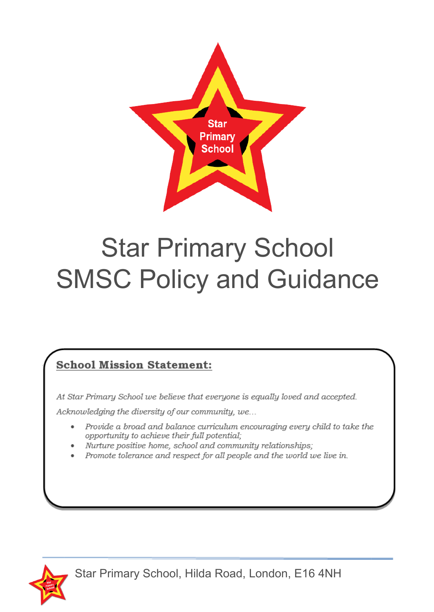

# Star Primary School SMSC Policy and Guidance

# **School Mission Statement:**

At Star Primary School we believe that everyone is equally loved and accepted. Acknowledging the diversity of our community, we...

- Provide a broad and balance curriculum encouraging every child to take the opportunity to achieve their full potential;
- Nurture positive home, school and community relationships;
- Promote tolerance and respect for all people and the world we live in.

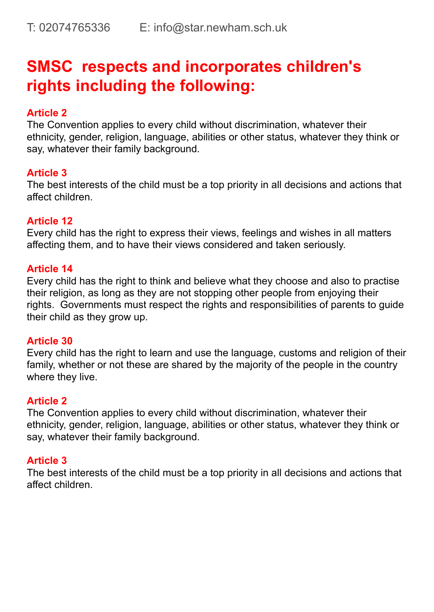# **SMSC respects and incorporates children's rights including the following:**

# **Article 2**

The Convention applies to every child without discrimination, whatever their ethnicity, gender, religion, language, abilities or other status, whatever they think or say, whatever their family background.

# **Article 3**

The best interests of the child must be a top priority in all decisions and actions that affect children.

# **Article 12**

Every child has the right to express their views, feelings and wishes in all matters affecting them, and to have their views considered and taken seriously.

# **Article 14**

Every child has the right to think and believe what they choose and also to practise their religion, as long as they are not stopping other people from enjoying their rights. Governments must respect the rights and responsibilities of parents to guide their child as they grow up.

### **Article 30**

Every child has the right to learn and use the language, customs and religion of their family, whether or not these are shared by the majority of the people in the country where they live.

# **Article 2**

The Convention applies to every child without discrimination, whatever their ethnicity, gender, religion, language, abilities or other status, whatever they think or say, whatever their family background.

### **Article 3**

The best interests of the child must be a top priority in all decisions and actions that affect children.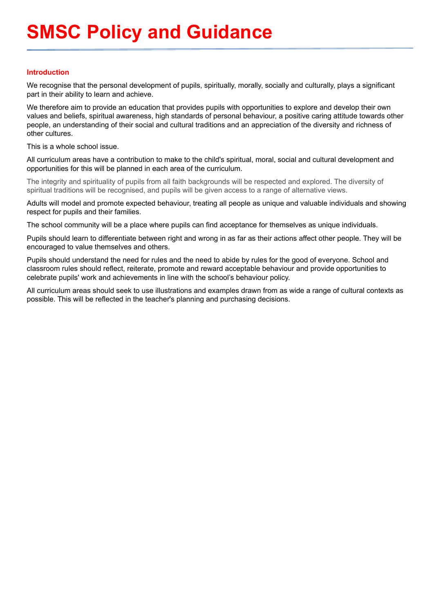# **SMSC Policy and Guidance**

#### **Introduction**

We recognise that the personal development of pupils, spiritually, morally, socially and culturally, plays a significant part in their ability to learn and achieve.

We therefore aim to provide an education that provides pupils with opportunities to explore and develop their own values and beliefs, spiritual awareness, high standards of personal behaviour, a positive caring attitude towards other people, an understanding of their social and cultural traditions and an appreciation of the diversity and richness of other cultures.

This is a whole school issue.

All curriculum areas have a contribution to make to the child's spiritual, moral, social and cultural development and opportunities for this will be planned in each area of the curriculum.

The integrity and spirituality of pupils from all faith backgrounds will be respected and explored. The diversity of spiritual traditions will be recognised, and pupils will be given access to a range of alternative views.

Adults will model and promote expected behaviour, treating all people as unique and valuable individuals and showing respect for pupils and their families.

The school community will be a place where pupils can find acceptance for themselves as unique individuals.

Pupils should learn to differentiate between right and wrong in as far as their actions affect other people. They will be encouraged to value themselves and others.

Pupils should understand the need for rules and the need to abide by rules for the good of everyone. School and classroom rules should reflect, reiterate, promote and reward acceptable behaviour and provide opportunities to celebrate pupils' work and achievements in line with the school's behaviour policy.

All curriculum areas should seek to use illustrations and examples drawn from as wide a range of cultural contexts as possible. This will be reflected in the teacher's planning and purchasing decisions.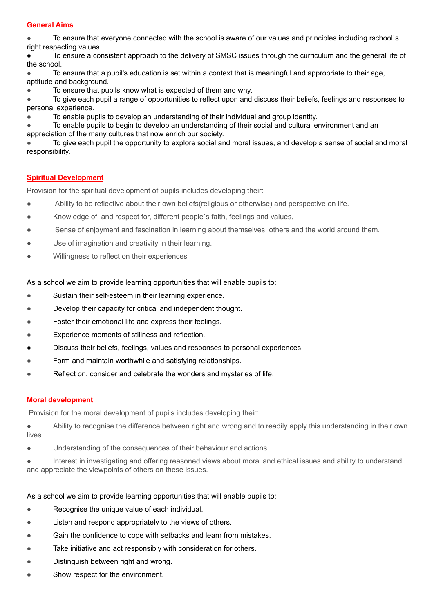#### **General Aims**

To ensure that everyone connected with the school is aware of our values and principles including rschool's right respecting values.

To ensure a consistent approach to the delivery of SMSC issues through the curriculum and the general life of the school.

● To ensure that a pupil's education is set within a context that is meaningful and appropriate to their age, aptitude and background.

● To ensure that pupils know what is expected of them and why.

● To give each pupil a range of opportunities to reflect upon and discuss their beliefs, feelings and responses to personal experience.

● To enable pupils to develop an understanding of their individual and group identity.

To enable pupils to begin to develop an understanding of their social and cultural environment and an appreciation of the many cultures that now enrich our society.

● To give each pupil the opportunity to explore social and moral issues, and develop a sense of social and moral responsibility.

#### **Spiritual Development**

Provision for the spiritual development of pupils includes developing their:

- Ability to be reflective about their own beliefs(religious or otherwise) and perspective on life.
- Knowledge of, and respect for, different people`s faith, feelings and values,
- Sense of enjoyment and fascination in learning about themselves, others and the world around them.
- Use of imagination and creativity in their learning.
- Willingness to reflect on their experiences

As a school we aim to provide learning opportunities that will enable pupils to:

- Sustain their self-esteem in their learning experience.
- Develop their capacity for critical and independent thought.
- Foster their emotional life and express their feelings.
- Experience moments of stillness and reflection.
- Discuss their beliefs, feelings, values and responses to personal experiences.
- Form and maintain worthwhile and satisfying relationships.
- Reflect on, consider and celebrate the wonders and mysteries of life.

#### **Moral development**

.Provision for the moral development of pupils includes developing their:

● Ability to recognise the difference between right and wrong and to readily apply this understanding in their own lives.

- Understanding of the consequences of their behaviour and actions.
- Interest in investigating and offering reasoned views about moral and ethical issues and ability to understand and appreciate the viewpoints of others on these issues.

#### As a school we aim to provide learning opportunities that will enable pupils to:

- Recognise the unique value of each individual.
- Listen and respond appropriately to the views of others.
- Gain the confidence to cope with setbacks and learn from mistakes.
- Take initiative and act responsibly with consideration for others.
- Distinguish between right and wrong.
- Show respect for the environment.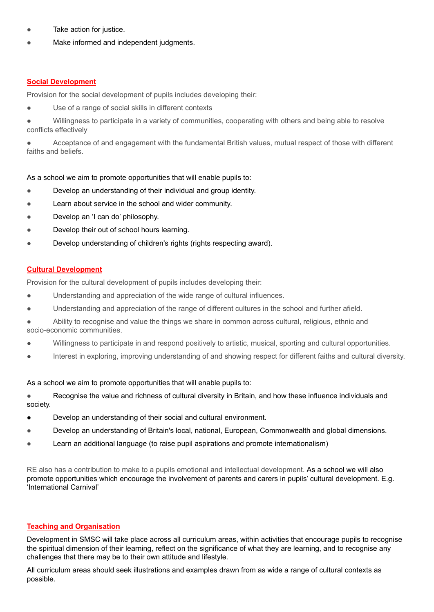- Take action for justice.
- Make informed and independent judgments.

#### **Social Development**

Provision for the social development of pupils includes developing their:

- Use of a range of social skills in different contexts
- Willingness to participate in a variety of communities, cooperating with others and being able to resolve conflicts effectively

Acceptance of and engagement with the fundamental British values, mutual respect of those with different faiths and beliefs.

As a school we aim to promote opportunities that will enable pupils to:

- Develop an understanding of their individual and group identity.
- Learn about service in the school and wider community.
- Develop an 'I can do' philosophy.
- Develop their out of school hours learning.
- Develop understanding of children's rights (rights respecting award).

#### **Cultural Development**

Provision for the cultural development of pupils includes developing their:

- Understanding and appreciation of the wide range of cultural influences.
- Understanding and appreciation of the range of different cultures in the school and further afield.
- Ability to recognise and value the things we share in common across cultural, religious, ethnic and socio-economic communities.
- Willingness to participate in and respond positively to artistic, musical, sporting and cultural opportunities.
- Interest in exploring, improving understanding of and showing respect for different faiths and cultural diversity.

As a school we aim to promote opportunities that will enable pupils to:

Recognise the value and richness of cultural diversity in Britain, and how these influence individuals and society.

- Develop an understanding of their social and cultural environment.
- Develop an understanding of Britain's local, national, European, Commonwealth and global dimensions.
- Learn an additional language (to raise pupil aspirations and promote internationalism)

RE also has a contribution to make to a pupils emotional and intellectual development. As a school we will also promote opportunities which encourage the involvement of parents and carers in pupils' cultural development. E.g. 'International Carnival'

#### **Teaching and Organisation**

Development in SMSC will take place across all curriculum areas, within activities that encourage pupils to recognise the spiritual dimension of their learning, reflect on the significance of what they are learning, and to recognise any challenges that there may be to their own attitude and lifestyle.

All curriculum areas should seek illustrations and examples drawn from as wide a range of cultural contexts as possible.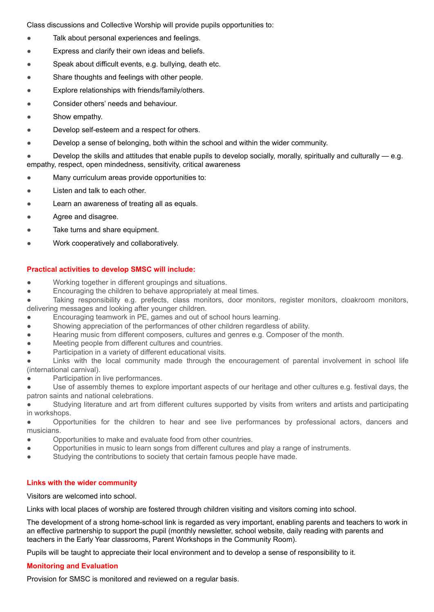Class discussions and Collective Worship will provide pupils opportunities to:

- Talk about personal experiences and feelings.
- Express and clarify their own ideas and beliefs.
- Speak about difficult events, e.g. bullying, death etc.
- Share thoughts and feelings with other people.
- Explore relationships with friends/family/others.
- Consider others' needs and behaviour.
- Show empathy.
- Develop self-esteem and a respect for others.
- Develop a sense of belonging, both within the school and within the wider community.

 $\bullet$  Develop the skills and attitudes that enable pupils to develop socially, morally, spiritually and culturally  $-$  e.g. empathy, respect, open mindedness, sensitivity, critical awareness

- Many curriculum areas provide opportunities to:
- Listen and talk to each other.
- Learn an awareness of treating all as equals.
- Agree and disagree.
- Take turns and share equipment.
- Work cooperatively and collaboratively.

#### **Practical activities to develop SMSC will include:**

- Working together in different groupings and situations.
- Encouraging the children to behave appropriately at meal times.
- Taking responsibility e.g. prefects, class monitors, door monitors, register monitors, cloakroom monitors, delivering messages and looking after younger children.
- Encouraging teamwork in PE, games and out of school hours learning.
- Showing appreciation of the performances of other children regardless of ability.
- Hearing music from different composers, cultures and genres e.g. Composer of the month.
- Meeting people from different cultures and countries.
- Participation in a variety of different educational visits.

● Links with the local community made through the encouragement of parental involvement in school life (international carnival).

● Participation in live performances.

● Use of assembly themes to explore important aspects of our heritage and other cultures e.g. festival days, the patron saints and national celebrations.

● Studying literature and art from different cultures supported by visits from writers and artists and participating in workshops.

● Opportunities for the children to hear and see live performances by professional actors, dancers and musicians.

- Opportunities to make and evaluate food from other countries.
- Opportunities in music to learn songs from different cultures and play a range of instruments.
- Studying the contributions to society that certain famous people have made.

#### **Links with the wider community**

Visitors are welcomed into school.

Links with local places of worship are fostered through children visiting and visitors coming into school.

The development of a strong home-school link is regarded as very important, enabling parents and teachers to work in an effective partnership to support the pupil (monthly newsletter, school website, daily reading with parents and teachers in the Early Year classrooms, Parent Workshops in the Community Room).

Pupils will be taught to appreciate their local environment and to develop a sense of responsibility to it.

#### **Monitoring and Evaluation**

Provision for SMSC is monitored and reviewed on a regular basis.